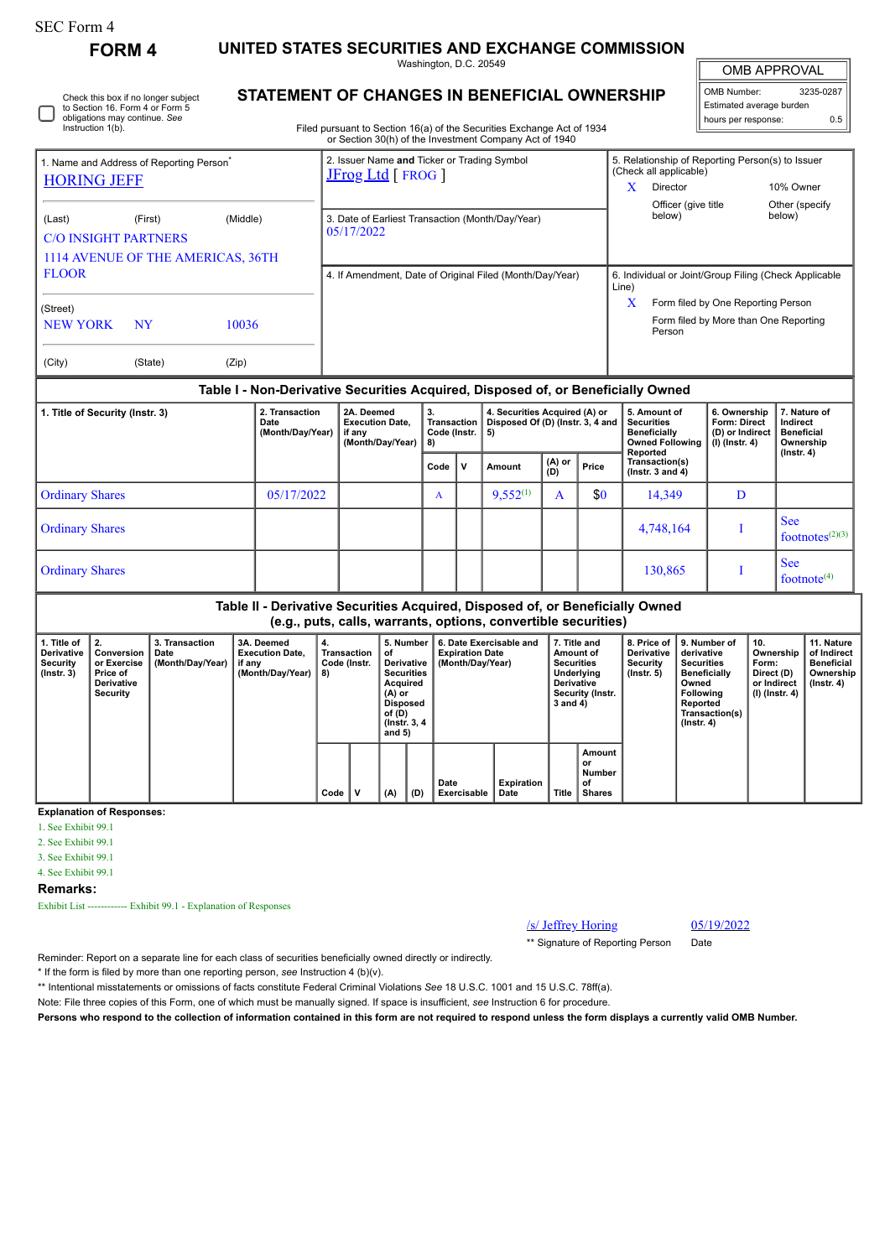| SEC Form 4 |  |
|------------|--|
| EODM 1     |  |

Check this box if no longer subject

# **FORM 4 UNITED STATES SECURITIES AND EXCHANGE COMMISSION**

Washington, D.C. 20549 **STATEMENT OF CHANGES IN BENEFICIAL OWNERSHIP**

OMB APPROVAL

 $\mathbb{I}$ 

|                          | OMB Number:         | 3235-0287 |  |  |  |  |  |  |
|--------------------------|---------------------|-----------|--|--|--|--|--|--|
| Estimated average burden |                     |           |  |  |  |  |  |  |
|                          | hours per response: | ሰ 5       |  |  |  |  |  |  |

| Instruction 1(b).                                                          | to Section 16. Form 4 or Form 5<br>obligations may continue. See |                                   | Filed pursuant to Section 16(a) of the Securities Exchange Act of 1934                                                             |       |                                                       | Estimated average burden<br>hours per response:  |                                       | 0.5 |
|----------------------------------------------------------------------------|------------------------------------------------------------------|-----------------------------------|------------------------------------------------------------------------------------------------------------------------------------|-------|-------------------------------------------------------|--------------------------------------------------|---------------------------------------|-----|
| 1. Name and Address of Reporting Person <sup>®</sup><br><b>HORING JEFF</b> |                                                                  |                                   | or Section 30(h) of the Investment Company Act of 1940<br>2. Issuer Name and Ticker or Trading Symbol<br><b>JFrog Ltd</b> [ FROG ] |       | (Check all applicable)                                | 5. Relationship of Reporting Person(s) to Issuer |                                       |     |
|                                                                            |                                                                  |                                   |                                                                                                                                    | X     | Director<br>Officer (give title<br>below)             |                                                  | 10% Owner<br>Other (specify<br>below) |     |
| (Last)<br><b>C/O INSIGHT PARTNERS</b>                                      | (First)                                                          | (Middle)                          | 3. Date of Earliest Transaction (Month/Day/Year)<br>05/17/2022                                                                     |       |                                                       |                                                  |                                       |     |
| <b>FLOOR</b>                                                               |                                                                  | 1114 AVENUE OF THE AMERICAS, 36TH | 4. If Amendment, Date of Original Filed (Month/Day/Year)                                                                           | Line) | 6. Individual or Joint/Group Filing (Check Applicable |                                                  |                                       |     |
| (Street)                                                                   |                                                                  |                                   |                                                                                                                                    | X     | Form filed by One Reporting Person                    |                                                  |                                       |     |
| <b>NEW YORK</b>                                                            | <b>NY</b>                                                        | 10036                             |                                                                                                                                    |       | Person                                                |                                                  | Form filed by More than One Reporting |     |
| (City)                                                                     | (State)                                                          | (Zip)                             |                                                                                                                                    |       |                                                       |                                                  |                                       |     |
|                                                                            |                                                                  |                                   | Table I - Non-Derivative Securities Acquired, Disposed of, or Beneficially Owned                                                   |       |                                                       |                                                  |                                       |     |

| 1. Title of Security (Instr. 3) | 2. Transaction<br>Date<br>(Month/Day/Year) | 2A. Deemed<br><b>Execution Date.</b><br>if any<br>(Month/Day/Year) | 3.<br><b>Transaction</b><br>Code (Instr.<br>8) |                 | 4. Securities Acquired (A) or<br>Disposed Of (D) (Instr. 3, 4 and<br>l 5) |                                        |     | 5. Amount of<br><b>Securities</b><br><b>Beneficially</b><br>Owned Following<br>Reported | 6. Ownership<br><b>Form: Direct</b><br>(D) or Indirect<br>(I) (Instr. 4) | 7. Nature of<br>Indirect<br><b>Beneficial</b><br>Ownership<br>(Instr. 4) |
|---------------------------------|--------------------------------------------|--------------------------------------------------------------------|------------------------------------------------|-----------------|---------------------------------------------------------------------------|----------------------------------------|-----|-----------------------------------------------------------------------------------------|--------------------------------------------------------------------------|--------------------------------------------------------------------------|
|                                 |                                            | v<br>Code<br>Amount                                                |                                                | $(A)$ or<br>(D) | Price                                                                     | Transaction(s)<br>( $lnstr. 3 and 4$ ) |     |                                                                                         |                                                                          |                                                                          |
| <b>Ordinary Shares</b>          | 05/17/2022                                 |                                                                    | $\mathbf{A}$                                   |                 | $9,552^{(1)}$                                                             | A                                      | \$0 | 14,349                                                                                  | D                                                                        |                                                                          |
| <b>Ordinary Shares</b>          |                                            |                                                                    |                                                |                 |                                                                           |                                        |     | 4,748,164                                                                               |                                                                          | <b>See</b><br>footnotes $(2)(3)$                                         |
| <b>Ordinary Shares</b>          |                                            |                                                                    |                                                |                 |                                                                           |                                        |     | 130,865                                                                                 |                                                                          | <b>See</b><br>footnote $(4)$                                             |

#### **Table II - Derivative Securities Acquired, Disposed of, or Beneficially Owned (e.g., puts, calls, warrants, options, convertible securities)**

| 1. Title of<br>Derivative<br>Security<br>$($ lnstr. 3 $)$ | I 2.<br>Conversion<br>or Exercise<br><b>Price of</b><br>Derivative<br>Security | 3. Transaction<br>Date<br>(Month/Day/Year) | 3A. Deemed<br><b>Execution Date.</b><br>if any<br>(Month/Day/Year) | 4.<br>Transaction<br>Code (Instr.<br>8) |  | 5. Number<br>οf<br>Derivative<br><b>Securities</b><br>Acquired<br>$(A)$ or<br><b>Disposed</b><br>of (D)<br>(Instr. 3, 4)<br>and $5)$<br>(A)<br>(D) |  | 6. Date Exercisable and<br><b>Expiration Date</b><br>(Month/Day/Year) |                    |              | 7. Title and<br>Amount of<br><b>Securities</b><br>Underlying<br><b>Derivative</b><br>Security (Instr.<br>$3$ and $4)$ |  | 8. Price of 19. Number of<br>derivative<br><b>Securities</b><br><b>Beneficially</b><br>Owned<br>Following<br>Reported<br>Transaction(s)<br>$($ lnstr. 4 $)$ | 10.<br>Ownership<br>Form:<br>Direct (D)<br>or Indirect<br>$(l)$ (lnstr. 4) | 11. Nature<br>of Indirect<br><b>Beneficial</b><br>Ownership<br>$($ lnstr. 4 $)$ |
|-----------------------------------------------------------|--------------------------------------------------------------------------------|--------------------------------------------|--------------------------------------------------------------------|-----------------------------------------|--|----------------------------------------------------------------------------------------------------------------------------------------------------|--|-----------------------------------------------------------------------|--------------------|--------------|-----------------------------------------------------------------------------------------------------------------------|--|-------------------------------------------------------------------------------------------------------------------------------------------------------------|----------------------------------------------------------------------------|---------------------------------------------------------------------------------|
|                                                           |                                                                                |                                            |                                                                    | Code                                    |  |                                                                                                                                                    |  | Date<br>Exercisable                                                   | Expiration<br>Date | <b>Title</b> | Amount<br>or<br>Number<br>οf<br><b>Shares</b>                                                                         |  |                                                                                                                                                             |                                                                            |                                                                                 |

#### **Explanation of Responses:**

1. See Exhibit 99.1

2. See Exhibit 99.1

3. See Exhibit 99.1

4. See Exhibit 99.1

**Remarks:**

Exhibit List ------------ Exhibit 99.1 - Explanation of Responses

/s/ Jeffrey Horing 05/19/2022

\*\* Signature of Reporting Person Date

Reminder: Report on a separate line for each class of securities beneficially owned directly or indirectly.

\* If the form is filed by more than one reporting person, *see* Instruction 4 (b)(v).

\*\* Intentional misstatements or omissions of facts constitute Federal Criminal Violations *See* 18 U.S.C. 1001 and 15 U.S.C. 78ff(a).

Note: File three copies of this Form, one of which must be manually signed. If space is insufficient, *see* Instruction 6 for procedure.

**Persons who respond to the collection of information contained in this form are not required to respond unless the form displays a currently valid OMB Number.**